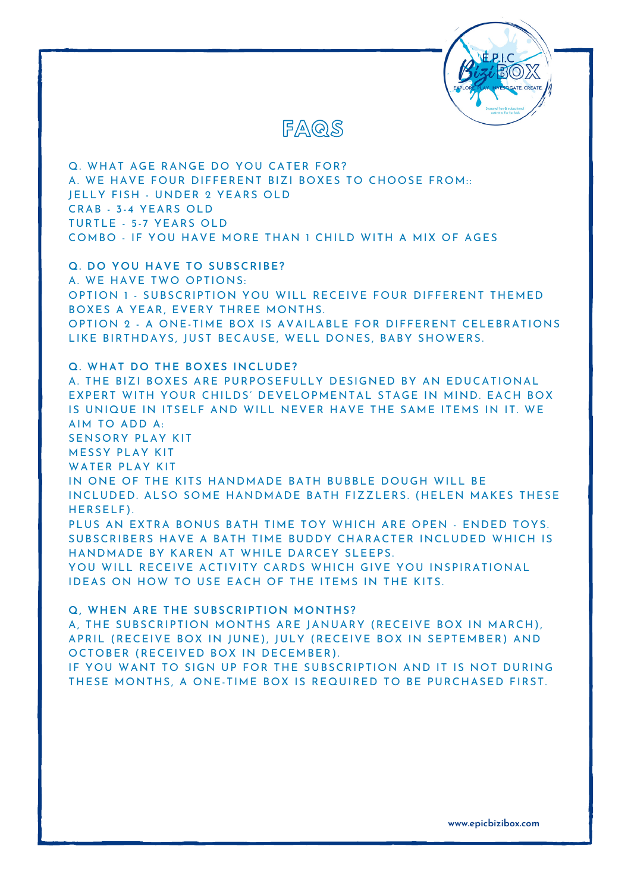



Q. WHAT AGE RANGE DO YOU CATER FOR? A. WE HAVE FOUR DIFFERENT BIZI BOXES TO CHOOSE FROM: : JELLY FISH - UNDER 2 YEARS OLD CRAB - 3-4 YEARS OLD TURTLE - 5-7 YEARS OLD COMBO - IF YOU HAVE MORE THAN 1 CHILD WITH A MIX OF AGES

**Q. DO YOU HAVE TO SUBSCRIBE?** A. WE HAVE TWO OPTIONS: OPTION 1 - SUBSCRIPTION YOU WILL RECEIVE FOUR DIFFERENT THEMED BOXES A YEAR, EVERY THREE MONTHS. OPTION 2 - A ONE-TIME BOX IS AVAILABLE FOR DIFFERENT CELEBRATIONS LIKE BIRTHDAYS, JUST BECAUSE, WELL DONES, BABY SHOWERS.

**Q. WHAT DO THE BOXES INCLUDE?** A. THE BIZI BOXES ARE PURPOSEFULLY DESIGNED BY AN EDUCATIONAL EXPERT WITH YOUR CHILDS' DEVELOPMENTAL STAGE IN MIND. EACH BOX IS UNIQUE IN ITSELF AND WILL NEVER HAVE THE SAME ITEMS IN IT. WE AIM TO ADD A: SENSORY PLAY KIT MESSY PLAY KIT WATER PLAY KIT IN ONE OF THE KITS HANDMADE BATH BUBBLE DOUGH WILL BE INCLUDED. ALSO SOME HANDMADE BATH FIZZLERS. (HELEN MAKES THESE HERSELF). PLUS AN EXTRA BONUS BATH TIME TOY WHICH ARE OPEN - ENDED TOYS. SUBSCRIBERS HAVE A BATH TIME BUDDY CHARACTER INCLUDED WHICH IS HANDMADE BY KAREN AT WHILE DARCEY SLEEPS. YOU WILL RECEIVE ACTIVITY CARDS WHICH GIVE YOU INSPIRATIONAL IDEAS ON HOW TO USE EACH OF THE ITEMS IN THE KITS.

**Q, WHEN ARE THE SUBSCRIPTION MONTHS?**

A, THE SUBSCRIPTION MONTHS ARE JANUARY (RECEIVE BOX IN MARCH) , APRIL (RECEIVE BOX IN JUNE) , JULY (RECEIVE BOX IN SEPTEMBER) AND OCTOBER (RECEIVED BOX IN DECEMBER) .

IF YOU WANT TO SIGN UP FOR THE SUBSCRIPTION AND IT IS NOT DURING THESE MONTHS, A ONE-TIME BOX IS REQUIRED TO BE PURCHASED FIRST.